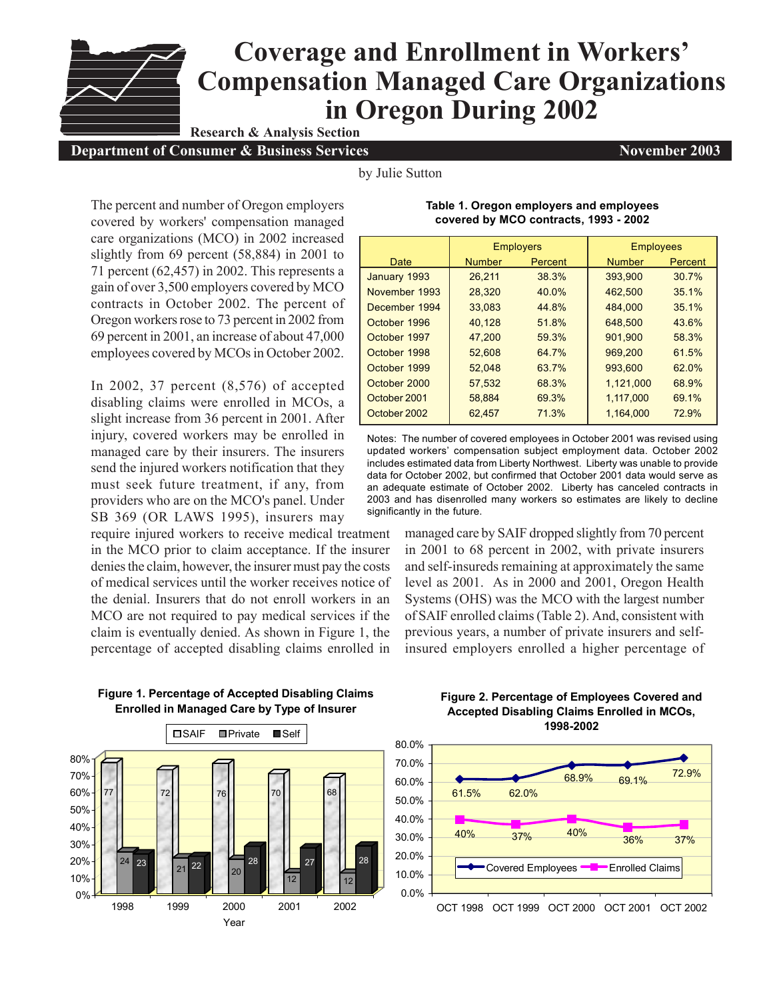## **Coverage and Enrollment in Workers' Compensation Managed Care Organizations in Oregon During 2002 Research & Analysis Section**

**Department of Consumer & Business Services November 2003**

by Julie Sutton

The percent and number of Oregon employers covered by workers' compensation managed care organizations (MCO) in 2002 increased slightly from 69 percent (58,884) in 2001 to 71 percent (62,457) in 2002. This represents a gain of over 3,500 employers covered by MCO contracts in October 2002. The percent of Oregon workers rose to 73 percent in 2002 from 69 percent in 2001, an increase of about 47,000 employees covered by MCOs in October 2002.

In 2002, 37 percent (8,576) of accepted disabling claims were enrolled in MCOs, a slight increase from 36 percent in 2001. After injury, covered workers may be enrolled in managed care by their insurers. The insurers send the injured workers notification that they must seek future treatment, if any, from providers who are on the MCO's panel. Under SB 369 (OR LAWS 1995), insurers may

require injured workers to receive medical treatment in the MCO prior to claim acceptance. If the insurer denies the claim, however, the insurer must pay the costs of medical services until the worker receives notice of the denial. Insurers that do not enroll workers in an MCO are not required to pay medical services if the claim is eventually denied. As shown in Figure 1, the percentage of accepted disabling claims enrolled in



Notes: The number of covered employees in October 2001 was revised using updated workers' compensation subject employment data. October 2002 includes estimated data from Liberty Northwest. Liberty was unable to provide data for October 2002, but confirmed that October 2001 data would serve as an adequate estimate of October 2002. Liberty has canceled contracts in 2003 and has disenrolled many workers so estimates are likely to decline significantly in the future.

> managed care by SAIF dropped slightly from 70 percent in 2001 to 68 percent in 2002, with private insurers and self-insureds remaining at approximately the same level as 2001. As in 2000 and 2001, Oregon Health Systems (OHS) was the MCO with the largest number of SAIF enrolled claims (Table 2). And, consistent with previous years, a number of private insurers and selfinsured employers enrolled a higher percentage of



## **Figure 1. Percentage of Accepted Disabling Claims Enrolled in Managed Care by Type of Insurer**

## **Figure 2. Percentage of Employees Covered and Accepted Disabling Claims Enrolled in MCOs, 1998-2002**



## **Table 1. Oregon employers and employees covered by MCO contracts, 1993 - 2002**